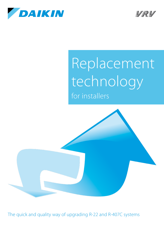



# Replacement technology for installers



The quick and quality way of upgrading R-22 and R-407C systems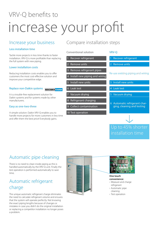## VRV-Q benefits to increase your profit

## Increase your business

### Less installation time

Tackle more projects in less time thanks to faster installation. VRV-Q is more profitable than replacing the full system with new piping.

#### Lower installation costs

Reducing installation costs enables you to offer customers the most cost-effective solution and improve your competitive edge.

#### Replace non-Daikin systems **NON DAIKIN DAIKIN**

It is a trouble-free replacement solution for Daikin systems and for systems made by other manufacturers.

#### Easy as one-two-three

A simple solution: Daikin VRV-Q enables you to handle more projects for more customers in less time and offer them the best price! Everybody gains.

## Compare installation steps

#### Conventional solution

### Recover refrigerant

Remove units

Remove refrigerant pipes

Install new piping and wiring

5 Install new units

6 Leak test

7 Vacuum drying

8 Refrigerant charging

9 Collect contamination

10 Test operation

#### VRV-Q

- Recover refrigerant
- 2 Remove units

Re-use existing piping and wiring

- 3 Install new units
- 4 Leak test
- 5 Vacuum drying
- 6 Automatic refrigerant charging, cleaning and testing



## Automatic pipe cleaning

There is no need to clean inside piping as this is handled automatically by the VRV-Q unit. Finally the test operation is performed automatically to save time.

## Automatic refrigerant charge

The unique automatic refrigerant charge eliminates the need to calculate refrigerant volume and ensures that the system will operate perfectly. Not knowing the exact piping lengths because of changes or mistakes in case you didn't do the original installation or replacing a competitor installation no longer poses a problem.





**One touch convenience:** › Measure and charge

- refrigerant
- › Automatic pipe cleaning
- › Test operation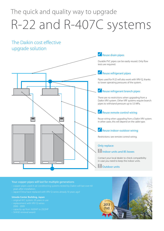## The quick and quality way to upgrade R-22 and R-407C systems

## The Daikin cost effective upgrade solution



#### Your copper pipes will last for multiple generations

- 
- › Japan/China have replaced with VRV Q-series already 10 years ago!

#### **Umeda Center Building, Japan**

- 
- 
- › capacity up from 1620HP to 2322HP
- 

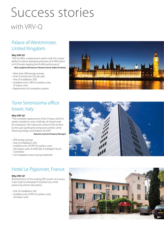# Success stories

## with VRV-Q

## Palace of Westminster, United Kingdom

#### **Why VRV-Q?**

"VRV-Q offers a replacement option with the unique ability to reduce operating pressures of R-410A down to R-22 levels, keeping the R-410A performance."

**Mick Langford (All Seasons Climate Control, Daikin D1 dealer)**

- › More than 35% energy savings
- › Over 6 tonnes less CO₂ per year
- › Year of installation: 2012
- › Installed units: 3 VRV-Q outdoor units, 13 indoor units
- › Replacement of competitor system



## Torre Serenissima office tower, Italy

#### **Why VRV-Q?**

"The complete replacement of the 17-years-old R-22 system resulted in only a half-day of missed work for employees. The improved control of the air flow by the user significantly enhanced comfort, while reducing energy consumption by 25%."

**Maurizio Casarola (Property Manager)**

- › 25% energy savings
- › Year of installation: 2013
- › Installed units: 39 VRV-Q outdoor units,
- 250 indoor units, 35 VAM 500, 4 intelligent Touch Controllers
- › Full installation done during weekends

## Hotel Le Pigionnet, France

#### **Why VRV-Q?**

Refurbishment of the existing VRV system of a luxury 5 star hotel to anticipate R-22 phase out, while preserving interior decoration.

- › Year of installation: 2011
- › Installed units: 8 VRV-Q outdoor units, 36 indoor units



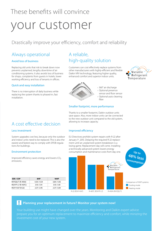## These benefits will convince your customer

## Drastically improve your efficiency, comfort and reliability

### Always operational

#### Avoid loss of business

Replacing old units that risk to break down now prevents unplanned, lengthy downtime of air conditioning systems. It also avoids loss of business for shops, complaints from guests in hotels, lower working efficiency and loss of tenants in offices.

#### Quick and easy installation

There is no interruption of daily business while replacing the system thanks to phased-in, fast installation.

## A reliable, high-quality solution

Customers can cost effectively replace systems from other manufacturers with highly-efficient and flexible Daikin VRV technology, featuring higher quality, enhanced comfort and superior indoor units.





› 360° air discharge

› Optional presence sensor and floor sensor

› Optional auto cleaning filter

#### Smaller footprint, more performance

Thanks to a smaller footprint, Daikin outdoor units

save space. Also, more indoor units can be connected to the new outdoor unit compared to the old system, allowing to increase capacity.

#### Improved efficiency

EU Directives prohibit system repairs with R-22 after January 1st, 2015. Delaying the required R-22 replacement until an unplanned system breakdown is a losing game. Replacement day will come. Installing a technically advanced system lowers energy consumption and maintenance costs from day one.



### **! Planning your replacement in future? Monitor your system now!**

Your building use might have changed over the years. Monitoring and Daikin expert advice investment cost of your new system.

## A cost effective decision

#### Less investment

System upgrades cost less, because only the outdoor and indoor units need to be replaced. This is also the easiest and fastest way to comply with EPDB regulations for buildings.

#### Environment protection

Improved efficiency saves energy and lowers CO<sub>2</sub> emissions.

| EER/COP           | <b>SHP</b>  | <b>10HP</b> |
|-------------------|-------------|-------------|
| RXYQQ-T (R-410A)  | 4.30 / 4.54 | 3.84 / 4.45 |
| RSXYP-L7 (R-407C) | 3.10 / 3.14 | 3.10 / 3.10 |
| RSXY-KA7 (R-22)   | 2.37/2.95   | 2.37/3.00   |